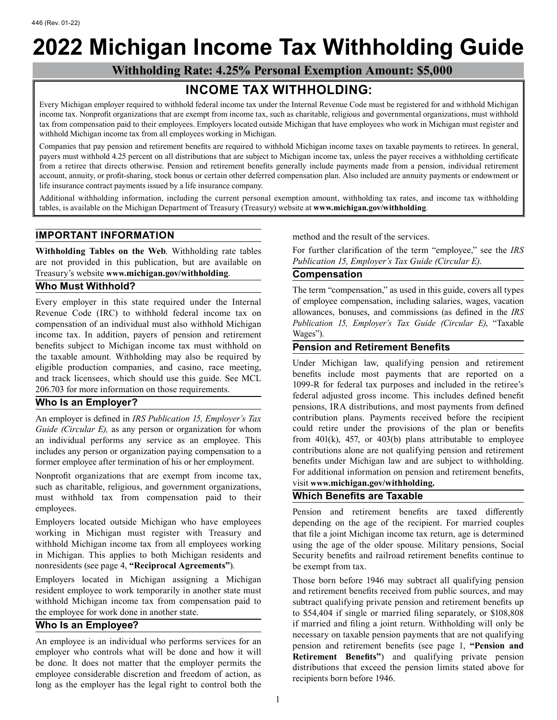## **2022 Michigan Income Tax Withholding Guide**

**Withholding Rate: 4.25% Personal Exemption Amount: \$5,000** 

## **INCOME TAX WITHHOLDING:**

Every Michigan employer required to withhold federal income tax under the Internal Revenue Code must be registered for and withhold Michigan income tax. Nonprofit organizations that are exempt from income tax, such as charitable, religious and governmental organizations, must withhold tax from compensation paid to their employees. Employers located outside Michigan that have employees who work in Michigan must register and withhold Michigan income tax from all employees working in Michigan.

Companies that pay pension and retirement benefits are required to withhold Michigan income taxes on taxable payments to retirees. In general, payers must withhold 4.25 percent on all distributions that are subject to Michigan income tax, unless the payer receives a withholding certificate from a retiree that directs otherwise. Pension and retirement benefits generally include payments made from a pension, individual retirement account, annuity, or profit-sharing, stock bonus or certain other deferred compensation plan. Also included are annuity payments or endowment or life insurance contract payments issued by a life insurance company.

Additional withholding information, including the current personal exemption amount, withholding tax rates, and income tax withholding tables, is available on the Michigan Department of Treasury (Treasury) website at **www.michigan.gov/withholding**.

### **IMPORTANT INFORMATION EXECUTE:** method and the result of the services.

are not provided in this publication, but are available on Treasury's website **<www.michigan.gov/withholding>**. **Compensation** 

income tax. In addition, payers of pension and retirement Wages"). benefits subject to Michigan income tax must withhold on **Pension and Retirement Benefits** the taxable amount. Withholding may also be required by

an individual performs any service as an employee. This former employee after termination of his or her employment.

Nonprofit organizations that are exempt from income tax,<br>such as charitable, religious, and government organizations,<br>must withhold tax from compensation paid to their<br>**Which Benefits are Taxable** must withhold tax from compensation paid to their

nonresidents (see page 4, **"Reciprocal Agreements"**). be exempt from tax.

An employee is an individual who performs services for an<br>employer who controls what will be done and how it will<br>be done. It does not matter that the employer permits the<br>employee considerable discretion and freedom of ac

**Withholding Tables on the Web**. Withholding rate tables For further clarification of the term "employee," see the *IRS* are not provided in this publication. but are available on *Publication 15, Employer's Tax Guide (Cir* 

**Who Must Withhold?** The term "compensation," as used in this guide, covers all types Every employer in this state required under the Internal of employee compensation, including salaries, wages, vacation Revenue Code (IRC) to withhold federal income tax on allowances, bonuses, and commissions (as defined in the *IRS*  compensation of an individual must also withhold Michigan *Publication 15, Employer's Tax Guide (Circular E)*, "Taxable

the taxable amount. Withholding may also be required by<br>
eligible production companies, and casino, race meeting,<br>
and track licensees, which should use this guide. See MCL<br>
206.703 for more information on those requiremen An employer is defined in *IRS Publication 15, Employer's Tax* contribution plans. Payments received before the recipient *Guide (Circular E),* as any person or organization for whom could retire under the provisions of the plan or benefits an individual performs any service as an employee. This from 401(k), 457, or 403(b) plans attributable includes any person or organization paying compensation to a contributions alone are not qualifying pension and retirement<br>former employee after termination of his or her employment. benefits under Michigan law and are sub

employees. Pension and retirement benefits are taxed differently Employers located outside Michigan who have employees depending on the age of the recipient. For married couples working in Michigan must register with Treasury and that file a joint Michigan income tax return, age is determined<br>withhold Michigan income tax from all employees working using the age of the older spouse. Military pensio withhold Michigan income tax from all employees working using the age of the older spouse. Military pensions, Social<br>in Michigan. This applies to both Michigan residents and Security benefits and railroad retirement benefi Security benefits and railroad retirement benefits continue to

Employers located in Michigan assigning a Michigan Those born before 1946 may subtract all qualifying pension resident employee to work temporarily in another state must and retirement benefits received from public sources resident employee to work temporarily in another state must and retirement benefits received from public sources, and may<br>withhold Michigan income tax from compensation paid to subtract qualifying private pension and retir subtract qualifying private pension and retirement benefits up the employee for work done in another state. the \$54,404 if single or married filing separately, or \$108,808 **Who Is an Employee?** if married and filing a joint return. Withholding will only be necessary on taxable pension payments that are not qualifying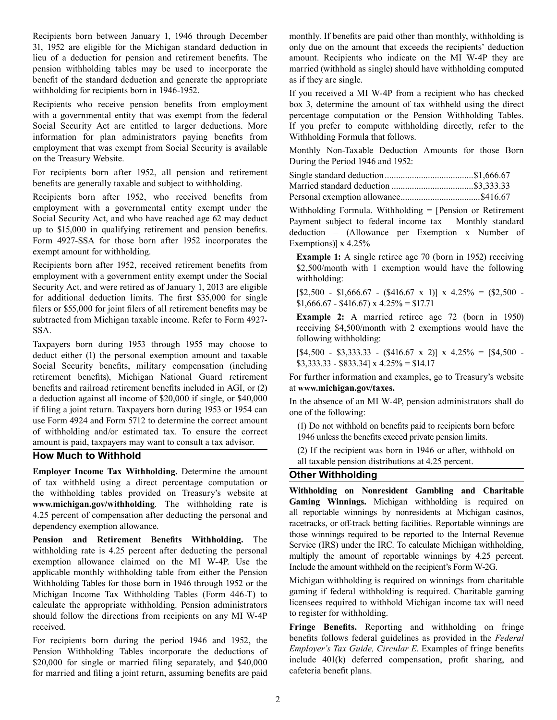Recipients born between January 1, 1946 through December monthly. If benefits are paid other than monthly, withholding is 31, 1952 are eligible for the Michigan standard deduction in only due on the amount that exceeds the recipients' deduction lieu of a deduction for pension and retirement benefits. The amount. Recipients who indicate on the MI W-4P they are pension withholding tables may be used to incorporate the married (withhold as single) should have withholding computed benefit of the standard deduction and generate the appropriate as if they are single.<br>withholding for recipients born in 1946-1952. If you received a M

Recipients who receive pension benefits from employment box 3, determine the amount of tax withheld using the direct with a governmental entity that was exempt from the federal percentage computation or the Pension Withhol with a governmental entity that was exempt from the federal percentage computation or the Pension Withholding Tables.<br>Social Security Act are entitled to larger deductions. More If you prefer to compute withholding directl information for plan administrators paying benefits from Withholding Formula that follows. employment that was exempt from Social Security is available Monthly Non-Taxable Deduction Amounts for those Born on the Treasury Website. During the Period 1946 and 1952:

For recipients born after 1952, all pension and retirement benefits are generally taxable and subject to withholding.

Recipients born after 1952, who received benefits from

employment with a governmental entity exempt under the<br>Social Security Act, and who have reached age 62 may deduct<br>up to \$15,000 in qualifying retirement and pension benefits.<br>Form 4927-SSA for those born after 1952 incorp subtracted from Michigan taxable income. Refer to Form 4927- **Example 2:** A married retiree age 72 (born in 1950)

Taxpayers born during 1953 through 1955 may choose to<br>deduct either (1) the personal exemption amount and taxable  $[$4,500 - $3,333.33 - ($416.67 \times 2)] \times 4.25\% = [$4,500$ deduct either (1) the personal exemption amount and taxable  $\begin{bmatrix} 84,500 - 83,333.33 - (8416.67 \times 2) \\ 8,333.33 - 8833.34 \times 4.25\% = 14.17 \end{bmatrix}$ Social Security benefits, military compensation (including retirement benefits), Michigan National Guard retirement For further information and examples, go to Treasury's website benefits and railroad retirement benefits included in AGI, or (2) at **[www.michigan.gov/taxes.](www.michigan.gov/taxes)**  a deduction against all income of \$20,000 if single, or \$40,000<br>
if filing a joint return. Taxpayers born during 1953 or 1954 can<br>
use Form 4924 and Form 5712 to determine the correct amount<br>
of withholding and/or estimate

**Employer Income Tax Withholding.** Determine the amount<br>of tax withhold using a direct percentage computation or<br>the withholding on Nonresident Gambling and Charitable the withholding tables provided on Treasury's website at **Withholding on Nonresident Gambling and Charitable <www.michigan.gov/withholding>**. The withholding rate is **Gaming Winnings.** Michigan withholding is required on all reportable winnings by nonresidents at Michigan casinos, 4.25 percent of compensation after deducting the personal and

**Pension and Retirement Benefits Withholding.** The withholding indexergences withholding rate is 4.25 percent after deducting the personal exemption allowance claimed on the MI W-4P. Use the applicable monthly withholding Withholding Tables for those born in 1946 through 1952 or the Michigan withholding is required on winnings from charitable<br>Michigan Income Tax Withholding Tables (Form 446-T) to gaming if federal withholding is required. C Michigan Income Tax Withholding Tables (Form 446-T) to gaming if federal withholding is required. Charitable gaming<br>calculate the appropriate withholding Pension administrators licensees required to withhold Michigan incom calculate the appropriate withholding. Pension administrators licensees required to withholding.<br>should follow the directions from recipients on any MI W-4P to register for withholding. should follow the directions from recipients on any MI W-4P received. **Fringe Benefits.** Reporting and withholding on fringe

Pension Withholding Tables incorporate the deductions of *Employer's Tax Guide, Circular E*. Examples of fringe benefits <br>\$20,000 for single or married filing separately and \$40,000 include 401(k) deferred compensation, pr \$20,000 for single or married filing separately, and \$40,000 include  $401(k)$  deferred competition, profit sharped contract the competition of the competition, profit sharped contract the competition, profit sharped contra for married and filing a joint return, assuming benefits are paid

If you received a MI W-4P from a recipient who has checked If you prefer to compute withholding directly, refer to the

| Personal exemption allowance\$416.67 |  |
|--------------------------------------|--|

SSA. receiving \$4,500/month with 2 exemptions would have the following withholding:

dependency exemption allowance.<br> **Reportable material properties** and **Reportable Dependency** of the **racetracks**, or off-track betting facilities. Reportable winnings are<br> **Reported** to the Internal Revenue

For recipients born during the period 1946 and 1952, the benefits follows federal guidelines as provided in the *Federal* Pension Withholding Tables incorporate the deductions of *Employer's Tax Guide, Circular E*. Example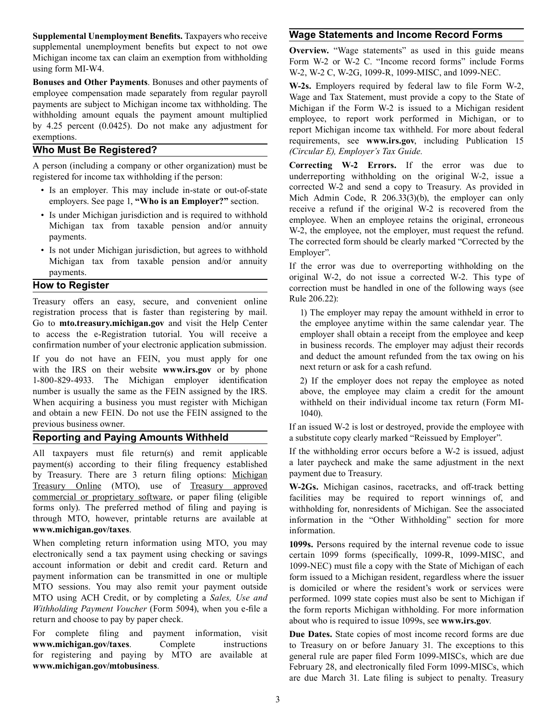**Supplemental Unemployment Benefits.** Taxpayers who receive **Wage Statements and Income Record Forms**  supplemental unemployment benefits but expect to not owe<br>Michigan income tax can claim an exemption from withholding<br>using form MI-W4.<br>W 2 W 2 C W 2G 1000 P 1000 MISC and 1000 NEC

using form MI-W4.<br> **Bonuses and Other Payments**. Bonuses and other payments of  $\bf{W}$ <sub>2</sub>, Employers required by federal law to file Form

registered for income tax withholding if the person: underreporting withholding on the original W-2, issue a

- 
- 
- 

Treasury offers an easy, secure, and convenient online Rule 206.22): registration process that is faster than registering by mail. 1) The employer may repay the amount withheld in error to Go to **mto.treasury.michigan.gov** and visit the Help Center the employee anytime within the same calendar year. The to access the e-Registration tutorial. You will receive a employer shall obtain a receipt from the employee and keep confirmation number of your electronic application submission. in business records. The employer may adju

with the IRS on their website **<www.irs.gov>** or by phone 1-800-829-4933. The Michigan employer identification 2) If the employer does not repay the employee as noted number is usually the same as the FEIN assigned by the IRS. above, the employee may claim a credit for the amount When acquiring a business you must register with Michigan withheld on their individual income tax return (Form MIand obtain a new FEIN. Do not use the FEIN assigned to the 1040).

payment(s) according to their filing frequency established a later paycheck and ma<br>by Treasury. There are 3 return filing options: Michigan payment due to Treasury. by Treasury. There are 3 return filing options: Michigan Treasury. Online (MTO), use of Treasury. approved Treasury Online (MTO), use of Treasury approved **W-2Gs.** Michigan casinos, racetracks, and off-track betting commercial or proprietary software, or paper filing (eligible facilities may be required to report winnings of, and forms only). The preferred method of filing and paying is withholding for, nonresidents of Michigan. See t [forms only\). The](https://mto.treasury.michigan.gov) preferred method of filing and paying is withholding for, nonresidents of Michigan. See the associated through MTO, however, printable returns are available at information in the "Other Withholding" sectio **<www.michigan.gov/taxes>**. information.

When completing return information using MTO, you may **1099s.** Persons required by the internal revenue code to issue electronically send a tax payment using checking or savings certain 1099 forms (specifically, 1099-R, 10 electronically send a tax payment using checking or savings certain 1099 forms (specifically, 1099-R, 1099-MISC, and account information or debit and credit card. Return and 1099-NEC) must file a copy with the State of Mic account information or debit and credit card. Return and 1099-NEC) must file a copy with the State of Michigan of each payment information can be transmitted in one or multiple form issued to a Michigan resident, regardles payment information can be transmitted in one or multiple form issued to a Michigan resident, regardless where the issuer<br>MTO sessions. You may also remit your payment outside is domiciled or where the resident's work or s MTO sessions. You may also remit your payment outside is domiciled or where the resident's work or services were<br>MTO using ACH Credit, or by completing a *Sales, Use and* performed. 1099 state copies must also be sent to M MTO using ACH Credit, or by completing a *Sales, Use and* performed. 1099 state copies must also be sent to Michigan if *Withholding Payment Voucher* (Form 5094), when you e-file a the form reports Michigan withholding. Fo *Withholding Payment Voucher* (Form 5094), when you e-file a the form reports Michigan withholding. For more information return and choose to pay by paper check.

For complete filing and payment information, visit **Due Dates.** State copies of most income record forms are due **www.michigan.gov/taxes**. Complete instructions to Treasury on or before January 31. The exceptions to this **<www.michigan.gov/taxes>.** Complete instructions to Treasury on or before January 31. The exceptions to this for registering and paying by MTO are available at general rule are paper filed Form 1099-MISCs, which are due for registering and paying by MTO are available at general rule are paper filed Form 1099-MISCs, which are due<br>February 28. and electronically filed Form 1099-MISCs, which

**Bonuses and Other Payments**. Bonuses and other payments of<br>
employee compensation made separately from regular payroll<br>
payments are subject to Michigan income tax withholding. The<br>
withholding amount equals the payment a **Who Must Be Registered?** *(Circular E), Employer's Tax Guide.* 

A person (including a company or other organization) must be **Correcting W-2 Errors.** If the error was due to • Is an employer. This may include in-state or out-of-state<br>employers. See page 1, "Who is an Employer?" section.<br>Mich Admin Code, R 206.33(3)(b), the employer can only<br>receive a refund if the original W-2 is recovered fro • Is under Michigan jurisdiction and is required to withhold<br>
Michigan tax from taxable pension and/or annuity<br>
• Is not under Michigan jurisdiction, but agrees to withhold<br>
• Is not under Michigan jurisdiction, but agrees

Michigan tax from taxable pension and/or annuity<br>payments.<br>**How to Register Exercise 1999 Exerce Exerce Exerce Exerce Exerce Exerce Exerce Exerce Exerce Exerce Exerce Exerce Exerce Exerce Ex** 

in business records. The employer may adjust their records If you do not have an FEIN, you must apply for one and deduct the amount refunded from the tax owing on his with the IPS on their website www.irs.gov. or by phone next return or ask for a cash refund.

previous business owner.<br> **Reporting and Paying Amounts Withheld** a substitute copy clearly marked "Reissued by Employer". a substitute copy clearly marked "Reissued by Employer".

All taxpayers must file return(s) and remit applicable If the withholding error occurs before a W-2 is issued, adjust navment(s) according to their filing frequency established a later paycheck and make the same adjustment

information in the "Other Withholding" section for more

about who is required to issue 1099s, see <www.irs.gov>.

February 28, and electronically filed Form 1099-MISCs, which are due March 31. Late filing is subject to penalty. Treasury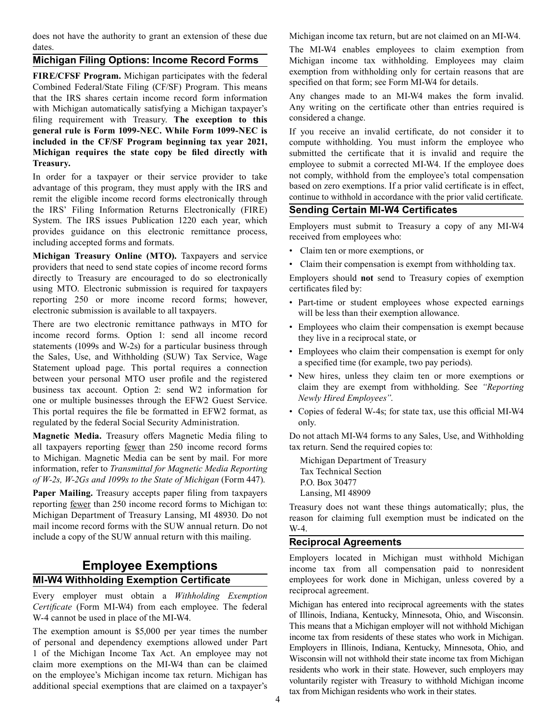does not have the authority to grant an extension of these due Michigan income tax return, but are not claimed on an MI-W4.

FIRE/CFSF Program. Michigan participates with the federal<br>
Combined Federal/State Filing (CF/SF) Program. This means<br>
that the IRS shares certain income record form information<br>
Any changes made to an MI-W4 makes the form that the IRS shares certain income record form information and Any changes made to an MI-W4 makes the form invalid.<br>
with Michigan automatically satisfying a Michigan taxnaver's any writing on the certificate other than en with Michigan automatically satisfying a Michigan taxpayer's Any writing on the filing requirement with Treasury The excention to this considered a change. filing requirement with Treasury. The exception to this **general rule is Form 1099-NEC. While Form 1099-NEC is** If you receive an invalid certificate, do not consider it to **included in the CF/SF Program beginning tax year 2021,** compute withholding. You must inform the employee who **Michigan requires the state copy be filed directly with** submitted the certificate that it is invalid and require the **Treasury. employee to submit a corrected MI-W4. If the employee does** 

advantage of this program, they must apply with the IRS and based on zero exemptions. If a prior valid certificate is in effect,<br>continue to withhold in accordance with the prior valid certificate. remit the eligible income record forms electronically through the IRS' Filing Information Returns Electronically (FIRE) **Sending Certain MI-W4 Certificates** provides guidance on this electronic remittance process,<br>including accepted forms and formats.<br>Michigan Tuckeyeve Orline (MTO). The state of the state of Claim ten or more exemptions, or

**Frequence is a Michigan Treasury Online (MTO).** Taxpayers and service<br>**Michigan Treasury Online (MTO).** Taxpayers and service and their compensation is exempt from withholding tax. providers that need to send state copies of income record forms directly to Treasury are encouraged to do so electronically Employers should **not** send to Treasury copies of exemption using MTO. Electronic submission is required for taxpayers certificates filed by: reporting 250 or more income record forms; however, <br>electronic submission is available to all taxpayers.<br>will be less than their exemption allowance.

There are two electronic remittance pathways in MTO for<br>income record forms. Option 1: send all income record<br>statements (1099s and W-2s) for a particular business through<br>the Sales, Use, and Withholding (SUW) Tax Service, Statement upload page. This portal requires a connection<br>between your personal MTO user profile and the registered • New hires, unless they claim ten or more exemptions or<br>business tax account Option 2: send W2 information business tax account. Option 2: send W2 information for claim they are exempt from white the second with the FEW2 Guest Service Newly Hired Employees". one or multiple businesses through the EFW2 Guest Service. This portal requires the file be formatted in EFW2 format, as • Copies of federal W-4s; for state tax, use this official MI-W4 regulated by the federal Social Security Administration. only.

all taxpayers reporting fewer than 250 income record forms tax return. Send the required copies to: to Michigan. Magnetic Media can be sent by mail. For more Michigan Department of Treasury information, refer to *Transmittal for Magnetic Media Reporting* Tax Technical Section *of W-2s, W-2Gs and 1099s to the State of Michigan (Form 447).* P.O. Box 30477

Paper Mailing. Treasury accepts paper filing from taxpayers Lansing, MI 48909 reporting <u>fewer</u> than 250 income record forms to Michigan to:<br>
Michigan Department of Treasury Lansing, MI 48930. Do not<br>
mail income record forms with the SUW annual return. Do not<br>  $\frac{1}{2}$ <br>  $\frac{1}{2}$ include a copy of the SUW annual return with this mailing. **Reciprocal Agreements** 

Every employer must obtain a *Withholding Exemption*<br>Certificate (Form MLW4) from each employee. The federal Michigan has entered into reciprocal agreements with the states *Certificate* (Form MI-W4) from each employee. The federal

dates.<br> **Michigan Filing Options: Income Record Forms** The MI-W4 enables employees to claim exemption from Michigan income tax withholding. Employees may claim Michigan income tax withholding. Employees may claim exemption from withholding only for certain reasons that are

In order for a taxpayer or their service provider to take not comply, withhold from the employee's total compensation advantage of this program they must apply with the IRS and based on zero exemptions. If a prior valid ce

- 
- 

- 
- 
- 
- 
- 

**Magnetic Media.** Treasury offers Magnetic Media filing to Do not attach MI-W4 forms to any Sales, Use, and Withholding

Employers located in Michigan must withhold Michigan **Employee Exemptions** income tax from all compensation paid to nonresident **MI-W4 Withholding Exemption Certificate** employees for work done in Michigan, unless covered by a reciprocal agreement.

W-4 cannot be used in place of the MI-W4. of Illinois, Indiana, Kentucky, Minnesota, Ohio, and Wisconsin.<br>This means that a Michigan employer will not withhold Michigan This means that a Michigan employer will not withhold Michigan<br>of personal and dependency exemptions allowed under Part<br>1 of the Michigan Income Tax Act. An employee may not<br>claim more exemptions on the MI-W4 than can be c